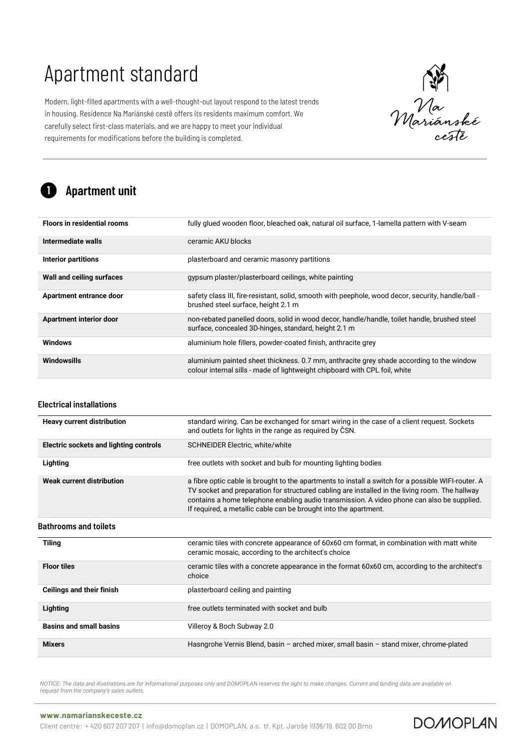Modern, light-filled apartments with a well-thought-out layout respond to the latest trends in housing. Residence Na Mariánské cestě offers its residents maximum comfort. We carefully select first-class materials, and we are happy to meet your individual requirements for modifications before the building is completed.

Wariánské<br>Mariánské<br>cesté

**DOMOPLAN** 

#### Apartment unit 1

| <b>Floors in residential rooms</b> | fully glued wooden floor, bleached oak, natural oil surface, 1-lamella pattern with V-seam                                                                             |
|------------------------------------|------------------------------------------------------------------------------------------------------------------------------------------------------------------------|
| Intermediate walls                 | ceramic AKU blocks                                                                                                                                                     |
| <b>Interior partitions</b>         | plasterboard and ceramic masonry partitions                                                                                                                            |
| Wall and ceiling surfaces          | gypsum plaster/plasterboard ceilings, white painting                                                                                                                   |
| Apartment entrance door            | safety class III, fire-resistant, solid, smooth with peephole, wood decor, security, handle/ball -<br>brushed steel surface, height 2.1 m                              |
| <b>Apartment interior door</b>     | non-rebated panelled doors, solid in wood decor, handle/handle, toilet handle, brushed steel<br>surface, concealed 3D-hinges, standard, height 2.1 m                   |
| <b>Windows</b>                     | aluminium hole fillers, powder-coated finish, anthracite grey                                                                                                          |
| Windowsills                        | aluminium painted sheet thickness. 0.7 mm, anthracite grey shade according to the window<br>colour internal sills - made of lightweight chipboard with CPL foil, white |

### Electrical installations

| <b>Heavy current distribution</b>      | standard wiring. Can be exchanged for smart wiring in the case of a client request. Sockets<br>and outlets for lights in the range as required by ČSN.                                                                                                                                                                                                                 |
|----------------------------------------|------------------------------------------------------------------------------------------------------------------------------------------------------------------------------------------------------------------------------------------------------------------------------------------------------------------------------------------------------------------------|
| Electric sockets and lighting controls | <b>SCHNEIDER Electric, white/white</b>                                                                                                                                                                                                                                                                                                                                 |
| Lighting                               | free outlets with socket and bulb for mounting lighting bodies                                                                                                                                                                                                                                                                                                         |
| Weak current distribution              | a fibre optic cable is brought to the apartments to install a switch for a possible WIFI-router. A<br>TV socket and preparation for structured cabling are installed in the living room. The hallway<br>contains a home telephone enabling audio transmission. A video phone can also be supplied.<br>If required, a metallic cable can be brought into the apartment. |
| Bathrooms and toilets                  |                                                                                                                                                                                                                                                                                                                                                                        |
| <b>Tiling</b>                          | ceramic tiles with concrete appearance of 60x60 cm format, in combination with matt white<br>ceramic mosaic, according to the architect's choice                                                                                                                                                                                                                       |
| <b>Floor tiles</b>                     | ceramic tiles with a concrete appearance in the format 60x60 cm, according to the architect's<br>choice                                                                                                                                                                                                                                                                |
| Ceilings and their finish              | plasterboard ceiling and painting                                                                                                                                                                                                                                                                                                                                      |
| Lighting                               | free outlets terminated with socket and bulb                                                                                                                                                                                                                                                                                                                           |
| <b>Basins and small basins</b>         | Villeroy & Boch Subway 2.0                                                                                                                                                                                                                                                                                                                                             |
| <b>Mixers</b>                          | Hasngrohe Vernis Blend, basin - arched mixer, small basin - stand mixer, chrome-plated                                                                                                                                                                                                                                                                                 |

*NOTICE: The data and illustrations are for informational purposes only and DOMOPLAN reserves the right to make changes. Current and binding data are available on request from the company's sales outlets.*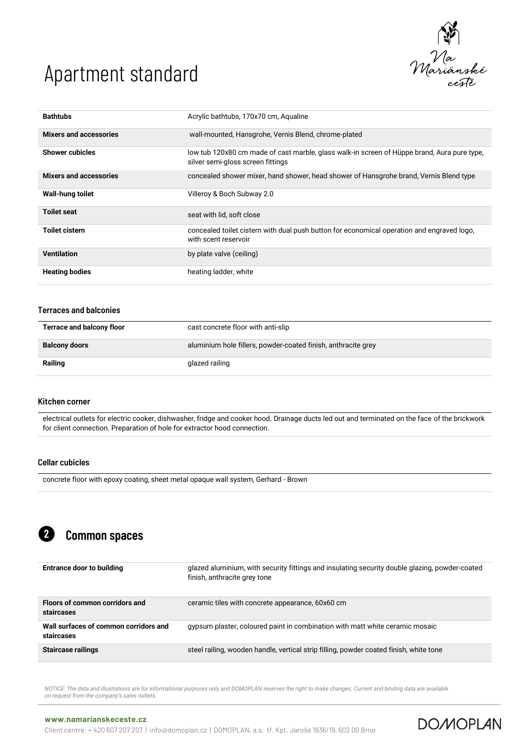

**DOMOPLAN** 

| <b>Bathtubs</b>               | Acrylic bathtubs, 170x70 cm, Aqualine                                                                                            |
|-------------------------------|----------------------------------------------------------------------------------------------------------------------------------|
| <b>Mixers and accessories</b> | wall-mounted, Hansgrohe, Vernis Blend, chrome-plated                                                                             |
| <b>Shower cubicles</b>        | low tub 120x80 cm made of cast marble, glass walk-in screen of Hüppe brand, Aura pure type,<br>silver semi-gloss screen fittings |
| <b>Mixers and accessories</b> | concealed shower mixer, hand shower, head shower of Hansgrohe brand, Vernis Blend type                                           |
| Wall-hung toilet              | Villeroy & Boch Subway 2.0                                                                                                       |
| <b>Toilet seat</b>            | seat with lid. soft close                                                                                                        |
| Toilet cistern                | concealed toilet cistern with dual push button for economical operation and engraved logo,<br>with scent reservoir               |
| <b>Ventilation</b>            | by plate valve (ceiling)                                                                                                         |
| <b>Heating bodies</b>         | heating ladder, white                                                                                                            |

#### Terraces and balconies

| <b>Terrace and balcony floor</b> | cast concrete floor with anti-slip                            |
|----------------------------------|---------------------------------------------------------------|
| <b>Balcony doors</b>             | aluminium hole fillers, powder-coated finish, anthracite grey |
| Railing                          | glazed railing                                                |

#### Kitchen corner

electrical outlets for electric cooker, dishwasher, fridge and cooker hood. Drainage ducts led out and terminated on the face of the brickwork for client connection. Preparation of hole for extractor hood connection.

### Cellar cubicles

concrete floor with epoxy coating, sheet metal opaque wall system, Gerhard - Brown

#### Common spaces 2

| <b>Entrance door to building</b>                    | glazed aluminium, with security fittings and insulating security double glazing, powder-coated<br>finish, anthracite grey tone |
|-----------------------------------------------------|--------------------------------------------------------------------------------------------------------------------------------|
| Floors of common corridors and<br>staircases        | ceramic tiles with concrete appearance, 60x60 cm                                                                               |
| Wall surfaces of common corridors and<br>staircases | gypsum plaster, coloured paint in combination with matt white ceramic mosaic                                                   |
| <b>Staircase railings</b>                           | steel railing, wooden handle, vertical strip filling, powder coated finish, white tone                                         |

*NOTICE: The data and illustrations are for informational purposes only and DOMOPLAN reserves the right to make changes. Current and binding data are available on request from the company's sales outlets.*

### **[www.namarianskeceste.cz](http://www.namarianskeceste.cz/)**

Client centre: + 420 607 207 207 | info@domoplan.cz | DOMOPLAN, a.s. tř. Kpt. Jaroše 1936/19, 602 00 Brno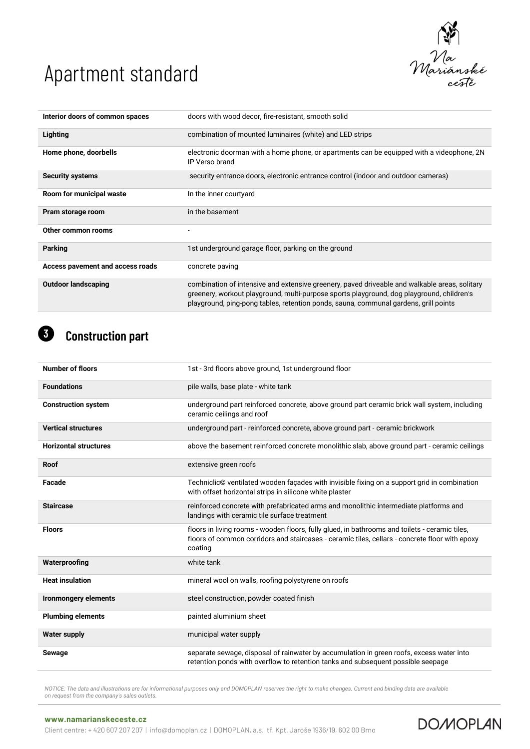

**DOMOPLAN** 

| Interior doors of common spaces  | doors with wood decor, fire-resistant, smooth solid                                                                                                                                                                                                                                |
|----------------------------------|------------------------------------------------------------------------------------------------------------------------------------------------------------------------------------------------------------------------------------------------------------------------------------|
| Lighting                         | combination of mounted luminaires (white) and LED strips                                                                                                                                                                                                                           |
| Home phone, doorbells            | electronic doorman with a home phone, or apartments can be equipped with a videophone, 2N<br>IP Verso brand                                                                                                                                                                        |
| <b>Security systems</b>          | security entrance doors, electronic entrance control (indoor and outdoor cameras)                                                                                                                                                                                                  |
| Room for municipal waste         | In the inner courtyard                                                                                                                                                                                                                                                             |
| Pram storage room                | in the basement                                                                                                                                                                                                                                                                    |
| Other common rooms               |                                                                                                                                                                                                                                                                                    |
| <b>Parking</b>                   | 1st underground garage floor, parking on the ground                                                                                                                                                                                                                                |
| Access pavement and access roads | concrete paving                                                                                                                                                                                                                                                                    |
| <b>Outdoor landscaping</b>       | combination of intensive and extensive greenery, paved driveable and walkable areas, solitary<br>greenery, workout playground, multi-purpose sports playground, dog playground, children's<br>playground, ping-pong tables, retention ponds, sauna, communal gardens, grill points |

### Construction part 6

| <b>Number of floors</b>      | 1st - 3rd floors above ground, 1st underground floor                                                                                                                                                        |
|------------------------------|-------------------------------------------------------------------------------------------------------------------------------------------------------------------------------------------------------------|
| <b>Foundations</b>           | pile walls, base plate - white tank                                                                                                                                                                         |
| <b>Construction system</b>   | underground part reinforced concrete, above ground part ceramic brick wall system, including<br>ceramic ceilings and roof                                                                                   |
| <b>Vertical structures</b>   | underground part - reinforced concrete, above ground part - ceramic brickwork                                                                                                                               |
| <b>Horizontal structures</b> | above the basement reinforced concrete monolithic slab, above ground part - ceramic ceilings                                                                                                                |
| <b>Roof</b>                  | extensive green roofs                                                                                                                                                                                       |
| Facade                       | Techniclic© ventilated wooden façades with invisible fixing on a support grid in combination<br>with offset horizontal strips in silicone white plaster                                                     |
| <b>Staircase</b>             | reinforced concrete with prefabricated arms and monolithic intermediate platforms and<br>landings with ceramic tile surface treatment                                                                       |
| <b>Floors</b>                | floors in living rooms - wooden floors, fully glued, in bathrooms and toilets - ceramic tiles,<br>floors of common corridors and staircases - ceramic tiles, cellars - concrete floor with epoxy<br>coating |
| Waterproofing                | white tank                                                                                                                                                                                                  |
| <b>Heat insulation</b>       | mineral wool on walls, roofing polystyrene on roofs                                                                                                                                                         |
| <b>Ironmongery elements</b>  | steel construction, powder coated finish                                                                                                                                                                    |
| <b>Plumbing elements</b>     | painted aluminium sheet                                                                                                                                                                                     |
| <b>Water supply</b>          | municipal water supply                                                                                                                                                                                      |
| Sewage                       | separate sewage, disposal of rainwater by accumulation in green roofs, excess water into<br>retention ponds with overflow to retention tanks and subsequent possible seepage                                |

*NOTICE: The data and illustrations are for informational purposes only and DOMOPLAN reserves the right to make changes. Current and binding data are available on request from the company's sales outlets.*

### **[www.namarianskeceste.cz](http://www.namarianskeceste.cz/)**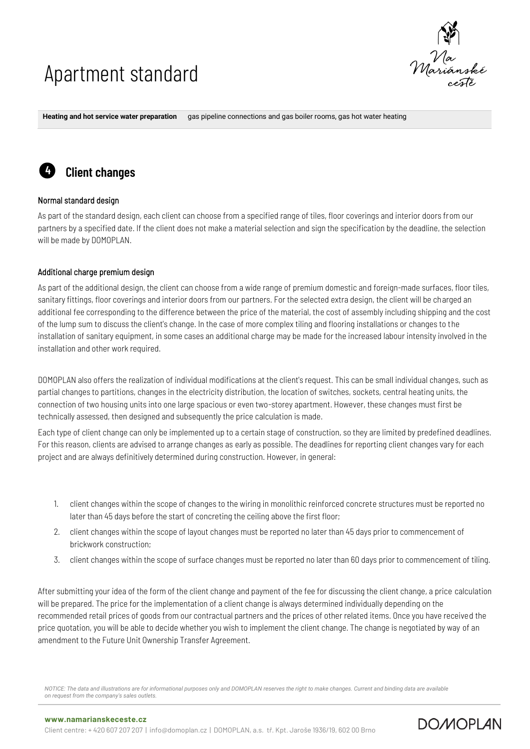

**DOMOPLAN** 

**Heating and hot service water preparation** gas pipeline connections and gas boiler rooms, gas hot water heating



### Normal standard design

4

As part of the standard design, each client can choose from a specified range of tiles, floor coverings and interior doors from our partners by a specified date. If the client does not make a material selection and sign the specification by the deadline, the selection will be made by DOMOPLAN.

### Additional charge premium design

Client changes

As part of the additional design, the client can choose from a wide range of premium domestic and foreign-made surfaces, floor tiles, sanitary fittings, floor coverings and interior doors from our partners. For the selected extra design, the client will be charged an additional fee corresponding to the difference between the price of the material, the cost of assembly including shipping and the cost of the lump sum to discuss the client's change. In the case of more complex tiling and flooring installations or changes to the installation of sanitary equipment, in some cases an additional charge may be made for the increased labour intensity involved in the installation and other work required.

DOMOPLAN also offers the realization of individual modifications at the client's request. This can be small individual changes, such as partial changes to partitions, changes in the electricity distribution, the location of switches, sockets, central heating units, the connection of two housing units into one large spacious or even two-storey apartment. However, these changes must first be technically assessed, then designed and subsequently the price calculation is made.

Each type of client change can only be implemented up to a certain stage of construction, so they are limited by predefined deadlines. For this reason, clients are advised to arrange changes as early as possible. The deadlines for reporting client changes vary for each project and are always definitively determined during construction. However, in general:

- 1. client changes within the scope of changes to the wiring in monolithic reinforced concrete structures must be reported no later than 45 days before the start of concreting the ceiling above the first floor;
- 2. client changes within the scope of layout changes must be reported no later than 45 days prior to commencement of brickwork construction;
- 3. client changes within the scope of surface changes must be reported no later than 60 days prior to commencement of tiling.

After submitting your idea of the form of the client change and payment of the fee for discussing the client change, a price calculation will be prepared. The price for the implementation of a client change is always determined individually depending on the recommended retail prices of goods from our contractual partners and the prices of other related items. Once you have received the price quotation, you will be able to decide whether you wish to implement the client change. The change is negotiated by way of an amendment to the Future Unit Ownership Transfer Agreement.

*NOTICE: The data and illustrations are for informational purposes only and DOMOPLAN reserves the right to make changes. Current and binding data are available on request from the company's sales outlets.*